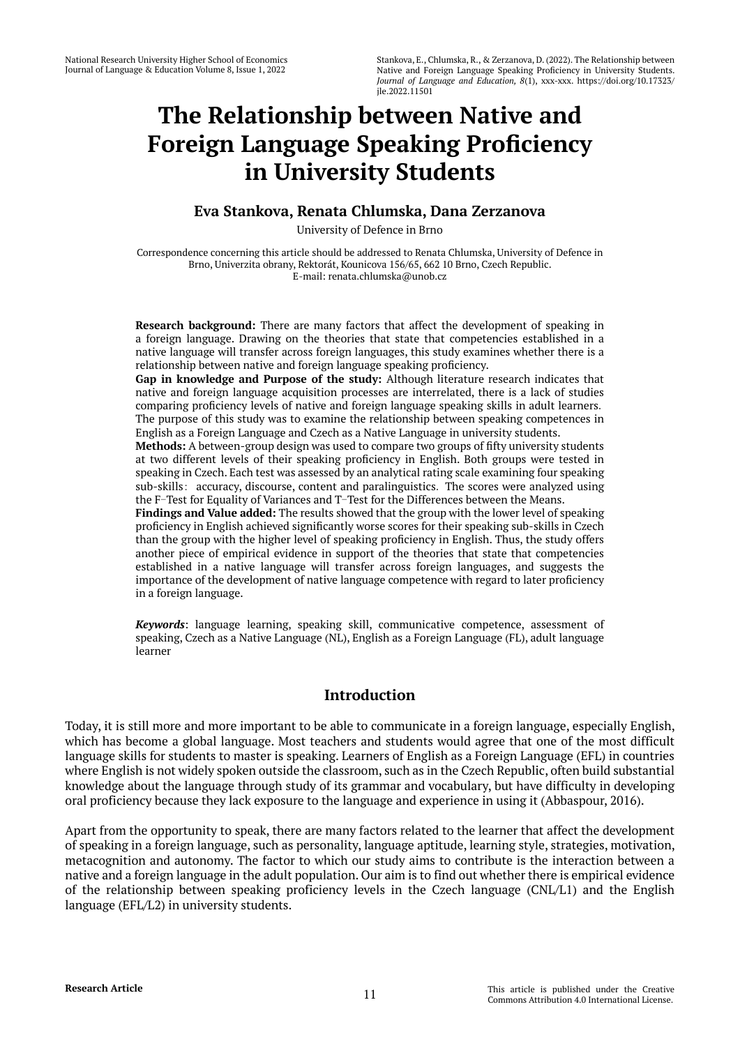# **The Relationship between Native and Foreign Language Speaking Proficiency in University Students**

# **Eva Stankova, Renata Chlumska, Dana Zerzanova**

University of Defence in Brno

Correspondence concerning this article should be addressed to Renata Chlumska, University of Defence in Brno, Univerzita obrany, Rektorát, Kounicova 156/65, 662 10 Brno, Czech Republic. E-mail: renata.chlumska@unob.cz

**Research background:** There are many factors that affect the development of speaking in a foreign language. Drawing on the theories that state that competencies established in a native language will transfer across foreign languages, this study examines whether there is a relationship between native and foreign language speaking proficiency.

**Gap in knowledge and Purpose of the study:** Although literature research indicates that native and foreign language acquisition processes are interrelated, there is a lack of studies comparing proficiency levels of native and foreign language speaking skills in adult learners. The purpose of this study was to examine the relationship between speaking competences in English as a Foreign Language and Czech as a Native Language in university students.

**Methods:** A between-group design was used to compare two groups of fifty university students at two different levels of their speaking proficiency in English. Both groups were tested in speaking in Czech. Each test was assessed by an analytical rating scale examining four speaking sub-skills: accuracy, discourse, content and paralinguistics. The scores were analyzed using the F-Test for Equality of Variances and T-Test for the Differences between the Means.

**Findings and Value added:** The results showed that the group with the lower level of speaking proficiency in English achieved significantly worse scores for their speaking sub-skills in Czech than the group with the higher level of speaking proficiency in English. Thus, the study offers another piece of empirical evidence in support of the theories that state that competencies established in a native language will transfer across foreign languages, and suggests the importance of the development of native language competence with regard to later proficiency in a foreign language.

*Keywords*: language learning, speaking skill, communicative competence, assessment of speaking, Czech as a Native Language (NL), English as a Foreign Language (FL), adult language learner

# **Introduction**

Today, it is still more and more important to be able to communicate in a foreign language, especially English, which has become a global language. Most teachers and students would agree that one of the most difficult language skills for students to master is speaking. Learners of English as a Foreign Language (EFL) in countries where English is not widely spoken outside the classroom, such as in the Czech Republic, often build substantial knowledge about the language through study of its grammar and vocabulary, but have difficulty in developing oral proficiency because they lack exposure to the language and experience in using it (Abbaspour, 2016).

Apart from the opportunity to speak, there are many factors related to the learner that affect the development of speaking in a foreign language, such as personality, language aptitude, learning style, strategies, motivation, metacognition and autonomy. The factor to which our study aims to contribute is the interaction between a native and a foreign language in the adult population. Our aim is to find out whether there is empirical evidence of the relationship between speaking proficiency levels in the Czech language (CNL/L1) and the English language (EFL/L2) in university students.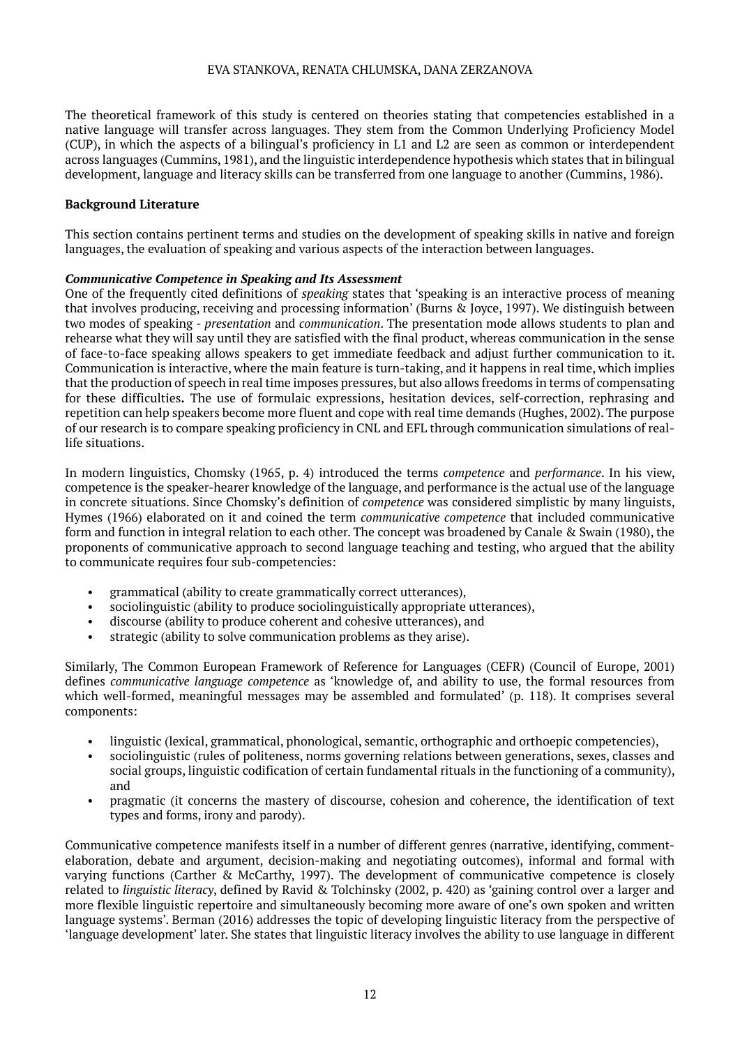The theoretical framework of this study is centered on theories stating that competencies established in a native language will transfer across languages. They stem from the Common Underlying Proficiency Model (CUP), in which the aspects of a bilingual's proficiency in L1 and L2 are seen as common or interdependent across languages (Cummins, 1981), and the linguistic interdependence hypothesis which states that in bilingual development, language and literacy skills can be transferred from one language to another (Cummins, 1986).

# **Background Literature**

This section contains pertinent terms and studies on the development of speaking skills in native and foreign languages, the evaluation of speaking and various aspects of the interaction between languages.

# *Communicative Competence in Speaking and Its Assessment*

One of the frequently cited definitions of *speaking* states that 'speaking is an interactive process of meaning that involves producing, receiving and processing information' (Burns & Joyce, 1997). We distinguish between two modes of speaking - *presentation* and *communication*. The presentation mode allows students to plan and rehearse what they will say until they are satisfied with the final product, whereas communication in the sense of face-to-face speaking allows speakers to get immediate feedback and adjust further communication to it. Communication is interactive, where the main feature is turn-taking, and it happens in real time, which implies that the production of speech in real time imposes pressures, but also allows freedoms in terms of compensating for these difficulties**.** The use of formulaic expressions, hesitation devices, self-correction, rephrasing and repetition can help speakers become more fluent and cope with real time demands (Hughes, 2002). The purpose of our research is to compare speaking proficiency in CNL and EFL through communication simulations of reallife situations.

In modern linguistics, Chomsky (1965, p. 4) introduced the terms *competence* and *performance*. In his view, competence is the speaker-hearer knowledge of the language, and performance is the actual use of the language in concrete situations. Since Chomsky's definition of *competence* was considered simplistic by many linguists, Hymes (1966) elaborated on it and coined the term *communicative competence* that included communicative form and function in integral relation to each other. The concept was broadened by Canale & Swain (1980), the proponents of communicative approach to second language teaching and testing, who argued that the ability to communicate requires four sub-competencies:

- grammatical (ability to create grammatically correct utterances),
- sociolinguistic (ability to produce sociolinguistically appropriate utterances),
- discourse (ability to produce coherent and cohesive utterances), and
- strategic (ability to solve communication problems as they arise).

Similarly, The Common European Framework of Reference for Languages (CEFR) (Council of Europe, 2001) defines *communicative language competence* as 'knowledge of, and ability to use, the formal resources from which well-formed, meaningful messages may be assembled and formulated' (p. 118). It comprises several components:

- linguistic (lexical, grammatical, phonological, semantic, orthographic and orthoepic competencies),
- sociolinguistic (rules of politeness, norms governing relations between generations, sexes, classes and social groups, linguistic codification of certain fundamental rituals in the functioning of a community), and
- pragmatic (it concerns the mastery of discourse, cohesion and coherence, the identification of text types and forms, irony and parody).

Communicative competence manifests itself in a number of different genres (narrative, identifying, commentelaboration, debate and argument, decision-making and negotiating outcomes), informal and formal with varying functions (Carther & McCarthy, 1997). The development of communicative competence is closely related to *linguistic literacy*, defined by Ravid & Tolchinsky (2002, p. 420) as 'gaining control over a larger and more flexible linguistic repertoire and simultaneously becoming more aware of one's own spoken and written language systems'. Berman (2016) addresses the topic of developing linguistic literacy from the perspective of 'language development' later. She states that linguistic literacy involves the ability to use language in different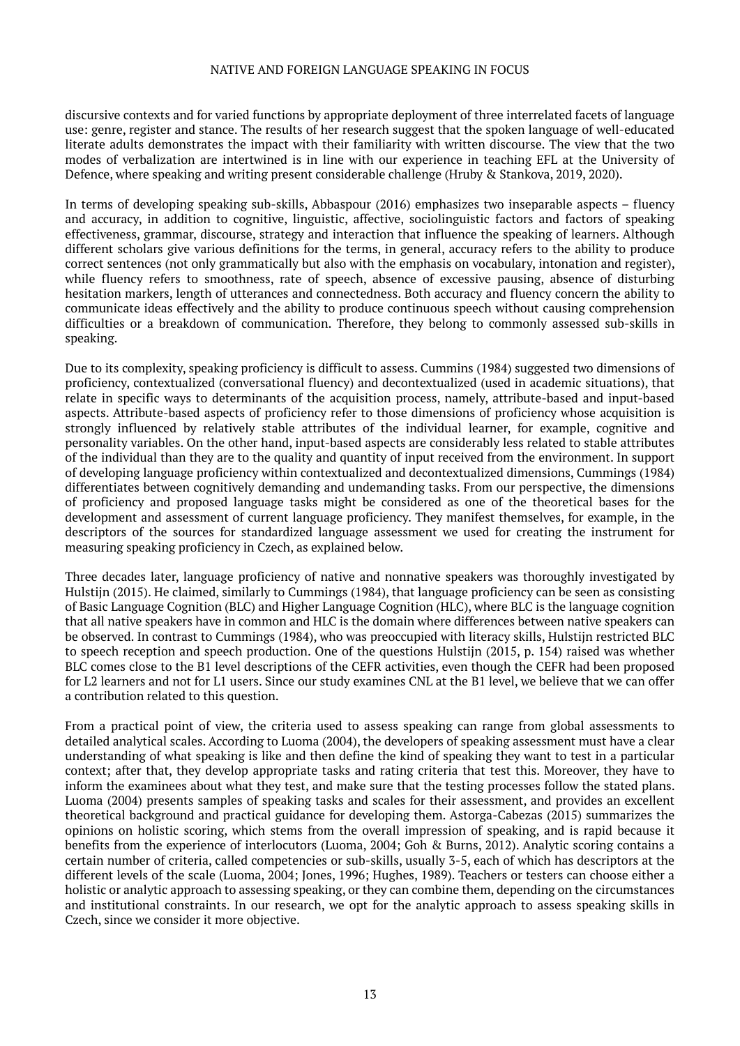discursive contexts and for varied functions by appropriate deployment of three interrelated facets of language use: genre, register and stance. The results of her research suggest that the spoken language of well-educated literate adults demonstrates the impact with their familiarity with written discourse. The view that the two modes of verbalization are intertwined is in line with our experience in teaching EFL at the University of Defence, where speaking and writing present considerable challenge (Hruby & Stankova, 2019, 2020).

In terms of developing speaking sub-skills, Abbaspour (2016) emphasizes two inseparable aspects – fluency and accuracy, in addition to cognitive, linguistic, affective, sociolinguistic factors and factors of speaking effectiveness, grammar, discourse, strategy and interaction that influence the speaking of learners. Although different scholars give various definitions for the terms, in general, accuracy refers to the ability to produce correct sentences (not only grammatically but also with the emphasis on vocabulary, intonation and register), while fluency refers to smoothness, rate of speech, absence of excessive pausing, absence of disturbing hesitation markers, length of utterances and connectedness. Both accuracy and fluency concern the ability to communicate ideas effectively and the ability to produce continuous speech without causing comprehension difficulties or a breakdown of communication. Therefore, they belong to commonly assessed sub-skills in speaking.

Due to its complexity, speaking proficiency is difficult to assess. Cummins (1984) suggested two dimensions of proficiency, contextualized (conversational fluency) and decontextualized (used in academic situations), that relate in specific ways to determinants of the acquisition process, namely, attribute-based and input-based aspects. Attribute-based aspects of proficiency refer to those dimensions of proficiency whose acquisition is strongly influenced by relatively stable attributes of the individual learner, for example, cognitive and personality variables. On the other hand, input-based aspects are considerably less related to stable attributes of the individual than they are to the quality and quantity of input received from the environment. In support of developing language proficiency within contextualized and decontextualized dimensions, Cummings (1984) differentiates between cognitively demanding and undemanding tasks. From our perspective, the dimensions of proficiency and proposed language tasks might be considered as one of the theoretical bases for the development and assessment of current language proficiency. They manifest themselves, for example, in the descriptors of the sources for standardized language assessment we used for creating the instrument for measuring speaking proficiency in Czech, as explained below.

Three decades later, language proficiency of native and nonnative speakers was thoroughly investigated by Hulstijn (2015). He claimed, similarly to Cummings (1984), that language proficiency can be seen as consisting of Basic Language Cognition (BLC) and Higher Language Cognition (HLC), where BLC is the language cognition that all native speakers have in common and HLC is the domain where differences between native speakers can be observed. In contrast to Cummings (1984), who was preoccupied with literacy skills, Hulstijn restricted BLC to speech reception and speech production. One of the questions Hulstijn (2015, p. 154) raised was whether BLC comes close to the B1 level descriptions of the CEFR activities, even though the CEFR had been proposed for L2 learners and not for L1 users. Since our study examines CNL at the B1 level, we believe that we can offer a contribution related to this question.

From a practical point of view, the criteria used to assess speaking can range from global assessments to detailed analytical scales. According to Luoma (2004), the developers of speaking assessment must have a clear understanding of what speaking is like and then define the kind of speaking they want to test in a particular context; after that, they develop appropriate tasks and rating criteria that test this. Moreover, they have to inform the examinees about what they test, and make sure that the testing processes follow the stated plans. Luoma (2004) presents samples of speaking tasks and scales for their assessment, and provides an excellent theoretical background and practical guidance for developing them. Astorga-Cabezas (2015) summarizes the opinions on holistic scoring, which stems from the overall impression of speaking, and is rapid because it benefits from the experience of interlocutors (Luoma, 2004; Goh & Burns, 2012). Analytic scoring contains a certain number of criteria, called competencies or sub-skills, usually 3-5, each of which has descriptors at the different levels of the scale (Luoma, 2004; Jones, 1996; Hughes, 1989). Teachers or testers can choose either a holistic or analytic approach to assessing speaking, or they can combine them, depending on the circumstances and institutional constraints. In our research, we opt for the analytic approach to assess speaking skills in Czech, since we consider it more objective.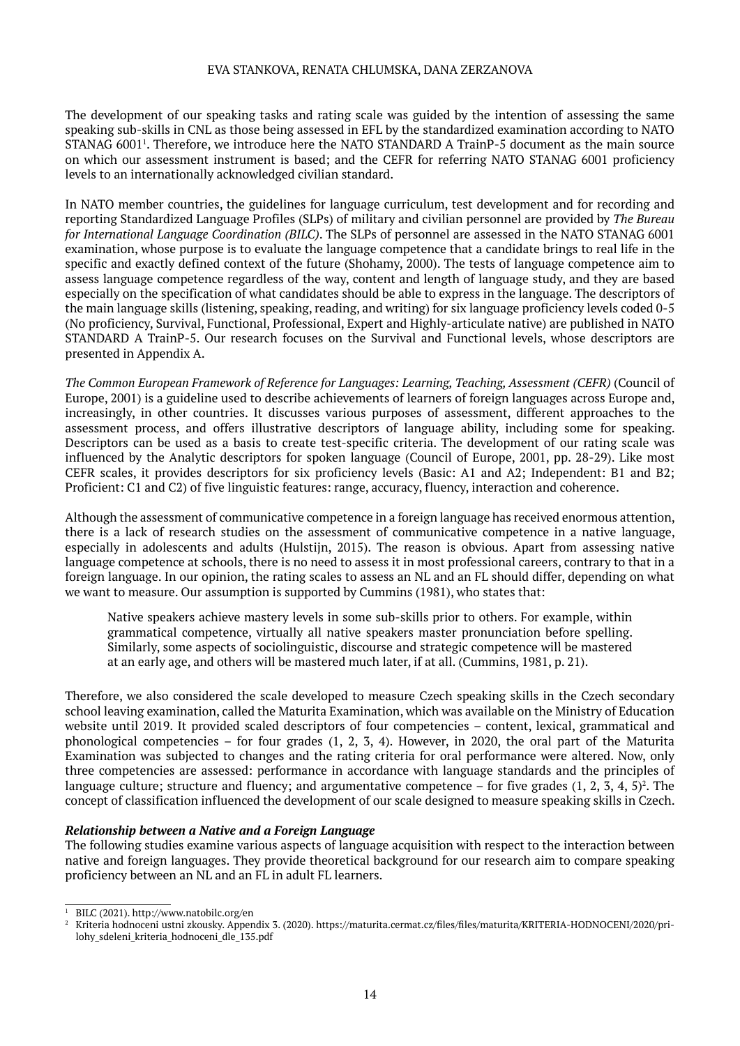The development of our speaking tasks and rating scale was guided by the intention of assessing the same speaking sub-skills in CNL as those being assessed in EFL by the standardized examination according to NATO STANAG 60011 . Therefore, we introduce here the NATO STANDARD A TrainP-5 document as the main source on which our assessment instrument is based; and the CEFR for referring NATO STANAG 6001 proficiency levels to an internationally acknowledged civilian standard.

In NATO member countries, the guidelines for language curriculum, test development and for recording and reporting Standardized Language Profiles (SLPs) of military and civilian personnel are provided by *The Bureau for International Language Coordination (BILC)*. The SLPs of personnel are assessed in the NATO STANAG 6001 examination, whose purpose is to evaluate the language competence that a candidate brings to real life in the specific and exactly defined context of the future (Shohamy, 2000). The tests of language competence aim to assess language competence regardless of the way, content and length of language study, and they are based especially on the specification of what candidates should be able to express in the language. The descriptors of the main language skills (listening, speaking, reading, and writing) for six language proficiency levels coded 0-5 (No proficiency, Survival, Functional, Professional, Expert and Highly-articulate native) are published in NATO STANDARD A TrainP-5. Our research focuses on the Survival and Functional levels, whose descriptors are presented in Appendix A.

*The Common European Framework of Reference for Languages: Learning, Teaching, Assessment (CEFR)* (Council of Europe, 2001) is a guideline used to describe achievements of learners of foreign languages across Europe and, increasingly, in other countries. It discusses various purposes of assessment, different approaches to the assessment process, and offers illustrative descriptors of language ability, including some for speaking. Descriptors can be used as a basis to create test-specific criteria. The development of our rating scale was influenced by the Analytic descriptors for spoken language (Council of Europe, 2001, pp. 28-29). Like most CEFR scales, it provides descriptors for six proficiency levels (Basic: A1 and A2; Independent: B1 and B2; Proficient: C1 and C2) of five linguistic features: range, accuracy, fluency, interaction and coherence.

Although the assessment of communicative competence in a foreign language has received enormous attention, there is a lack of research studies on the assessment of communicative competence in a native language, especially in adolescents and adults (Hulstijn, 2015). The reason is obvious. Apart from assessing native language competence at schools, there is no need to assess it in most professional careers, contrary to that in a foreign language. In our opinion, the rating scales to assess an NL and an FL should differ, depending on what we want to measure. Our assumption is supported by Cummins (1981), who states that:

Native speakers achieve mastery levels in some sub-skills prior to others. For example, within grammatical competence, virtually all native speakers master pronunciation before spelling. Similarly, some aspects of sociolinguistic, discourse and strategic competence will be mastered at an early age, and others will be mastered much later, if at all. (Cummins, 1981, p. 21).

Therefore, we also considered the scale developed to measure Czech speaking skills in the Czech secondary school leaving examination, called the Maturita Examination, which was available on the Ministry of Education website until 2019. It provided scaled descriptors of four competencies – content, lexical, grammatical and phonological competencies – for four grades (1, 2, 3, 4). However, in 2020, the oral part of the Maturita Examination was subjected to changes and the rating criteria for oral performance were altered. Now, only three competencies are assessed: performance in accordance with language standards and the principles of language culture; structure and fluency; and argumentative competence – for five grades  $(1, 2, 3, 4, 5)^2$ . The concept of classification influenced the development of our scale designed to measure speaking skills in Czech.

# *Relationship between a Native and a Foreign Language*

The following studies examine various aspects of language acquisition with respect to the interaction between native and foreign languages. They provide theoretical background for our research aim to compare speaking proficiency between an NL and an FL in adult FL learners.

<sup>1</sup> BILC (2021). http://www.natobilc.org/en

<sup>2</sup> Kriteria hodnoceni ustni zkousky. Appendix 3. (2020). https://maturita.cermat.cz/files/files/maturita/KRITERIA-HODNOCENI/2020/prilohy\_sdeleni\_kriteria\_hodnoceni\_dle\_135.pdf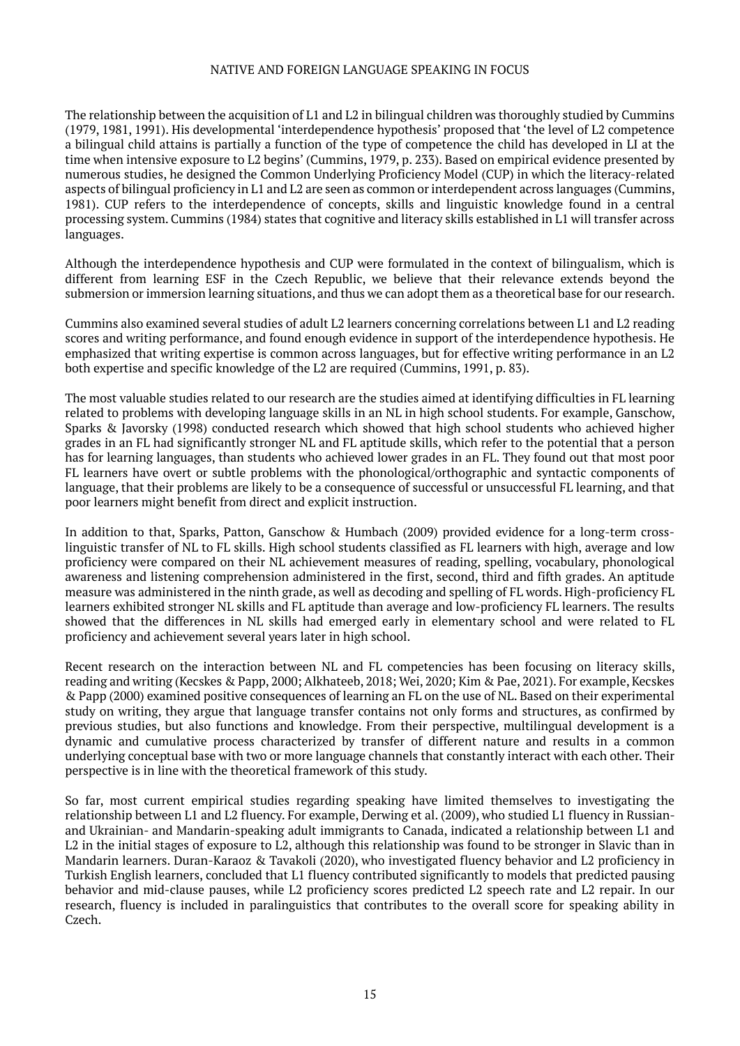The relationship between the acquisition of L1 and L2 in bilingual children was thoroughly studied by Cummins (1979, 1981, 1991). His developmental 'interdependence hypothesis' proposed that 'the level of L2 competence a bilingual child attains is partially a function of the type of competence the child has developed in LI at the time when intensive exposure to L2 begins' (Cummins, 1979, p. 233). Based on empirical evidence presented by numerous studies, he designed the Common Underlying Proficiency Model (CUP) in which the literacy-related aspects of bilingual proficiency in L1 and L2 are seen as common or interdependent across languages (Cummins, 1981). CUP refers to the interdependence of concepts, skills and linguistic knowledge found in a central processing system. Cummins (1984) states that cognitive and literacy skills established in L1 will transfer across languages.

Although the interdependence hypothesis and CUP were formulated in the context of bilingualism, which is different from learning ESF in the Czech Republic, we believe that their relevance extends beyond the submersion or immersion learning situations, and thus we can adopt them as a theoretical base for our research.

Cummins also examined several studies of adult L2 learners concerning correlations between L1 and L2 reading scores and writing performance, and found enough evidence in support of the interdependence hypothesis. He emphasized that writing expertise is common across languages, but for effective writing performance in an L2 both expertise and specific knowledge of the L2 are required (Cummins, 1991, p. 83).

The most valuable studies related to our research are the studies aimed at identifying difficulties in FL learning related to problems with developing language skills in an NL in high school students. For example, Ganschow, Sparks & Javorsky (1998) conducted research which showed that high school students who achieved higher grades in an FL had significantly stronger NL and FL aptitude skills, which refer to the potential that a person has for learning languages, than students who achieved lower grades in an FL. They found out that most poor FL learners have overt or subtle problems with the phonological/orthographic and syntactic components of language, that their problems are likely to be a consequence of successful or unsuccessful FL learning, and that poor learners might benefit from direct and explicit instruction.

In addition to that, Sparks, Patton, Ganschow & Humbach (2009) provided evidence for a long-term crosslinguistic transfer of NL to FL skills. High school students classified as FL learners with high, average and low proficiency were compared on their NL achievement measures of reading, spelling, vocabulary, phonological awareness and listening comprehension administered in the first, second, third and fifth grades. An aptitude measure was administered in the ninth grade, as well as decoding and spelling of FL words. High-proficiency FL learners exhibited stronger NL skills and FL aptitude than average and low-proficiency FL learners. The results showed that the differences in NL skills had emerged early in elementary school and were related to FL proficiency and achievement several years later in high school.

Recent research on the interaction between NL and FL competencies has been focusing on literacy skills, reading and writing (Kecskes & Papp, 2000; Alkhateeb, 2018; Wei, 2020; Kim & Pae, 2021). For example, Kecskes & Papp (2000) examined positive consequences of learning an FL on the use of NL. Based on their experimental study on writing, they argue that language transfer contains not only forms and structures, as confirmed by previous studies, but also functions and knowledge. From their perspective, multilingual development is a dynamic and cumulative process characterized by transfer of different nature and results in a common underlying conceptual base with two or more language channels that constantly interact with each other. Their perspective is in line with the theoretical framework of this study.

So far, most current empirical studies regarding speaking have limited themselves to investigating the relationship between L1 and L2 fluency. For example, Derwing et al. (2009), who studied L1 fluency in Russianand Ukrainian- and Mandarin-speaking adult immigrants to Canada, indicated a relationship between L1 and L2 in the initial stages of exposure to L2, although this relationship was found to be stronger in Slavic than in Mandarin learners. Duran-Karaoz & Tavakoli (2020), who investigated fluency behavior and L2 proficiency in Turkish English learners, concluded that L1 fluency contributed significantly to models that predicted pausing behavior and mid-clause pauses, while L2 proficiency scores predicted L2 speech rate and L2 repair. In our research, fluency is included in paralinguistics that contributes to the overall score for speaking ability in Czech.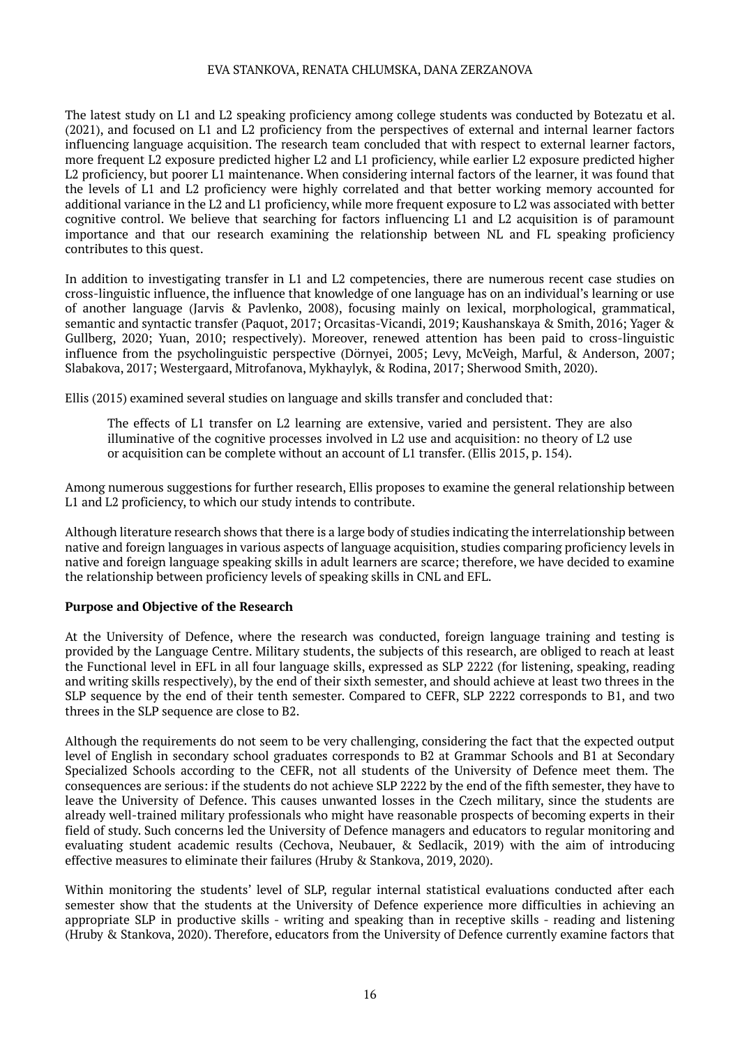The latest study on L1 and L2 speaking proficiency among college students was conducted by Botezatu et al. (2021), and focused on L1 and L2 proficiency from the perspectives of external and internal learner factors influencing language acquisition. The research team concluded that with respect to external learner factors, more frequent L2 exposure predicted higher L2 and L1 proficiency, while earlier L2 exposure predicted higher L2 proficiency, but poorer L1 maintenance. When considering internal factors of the learner, it was found that the levels of L1 and L2 proficiency were highly correlated and that better working memory accounted for additional variance in the L2 and L1 proficiency, while more frequent exposure to L2 was associated with better cognitive control. We believe that searching for factors influencing L1 and L2 acquisition is of paramount importance and that our research examining the relationship between NL and FL speaking proficiency contributes to this quest.

In addition to investigating transfer in L1 and L2 competencies, there are numerous recent case studies on cross-linguistic influence, the influence that knowledge of one language has on an individual's learning or use of another language (Jarvis & Pavlenko, 2008), focusing mainly on lexical, morphological, grammatical, semantic and syntactic transfer (Paquot, 2017; Orcasitas-Vicandi, 2019; Kaushanskaya & Smith, 2016; Yager & Gullberg, 2020; Yuan, 2010; respectively). Moreover, renewed attention has been paid to cross-linguistic influence from the psycholinguistic perspective (Dörnyei, 2005; Levy, McVeigh, Marful, & Anderson, 2007; Slabakova, 2017; Westergaard, Mitrofanova, Mykhaylyk, & Rodina, 2017; Sherwood Smith, 2020).

Ellis (2015) examined several studies on language and skills transfer and concluded that:

The effects of L1 transfer on L2 learning are extensive, varied and persistent. They are also illuminative of the cognitive processes involved in L2 use and acquisition: no theory of L2 use or acquisition can be complete without an account of L1 transfer. (Ellis 2015, p. 154).

Among numerous suggestions for further research, Ellis proposes to examine the general relationship between L1 and L2 proficiency, to which our study intends to contribute.

Although literature research shows that there is a large body of studies indicating the interrelationship between native and foreign languages in various aspects of language acquisition, studies comparing proficiency levels in native and foreign language speaking skills in adult learners are scarce; therefore, we have decided to examine the relationship between proficiency levels of speaking skills in CNL and EFL.

# **Purpose and Objective of the Research**

At the University of Defence, where the research was conducted, foreign language training and testing is provided by the Language Centre. Military students, the subjects of this research, are obliged to reach at least the Functional level in EFL in all four language skills, expressed as SLP 2222 (for listening, speaking, reading and writing skills respectively), by the end of their sixth semester, and should achieve at least two threes in the SLP sequence by the end of their tenth semester. Compared to CEFR, SLP 2222 corresponds to B1, and two threes in the SLP sequence are close to B2.

Although the requirements do not seem to be very challenging, considering the fact that the expected output level of English in secondary school graduates corresponds to B2 at Grammar Schools and B1 at Secondary Specialized Schools according to the CEFR, not all students of the University of Defence meet them. The consequences are serious: if the students do not achieve SLP 2222 by the end of the fifth semester, they have to leave the University of Defence. This causes unwanted losses in the Czech military, since the students are already well-trained military professionals who might have reasonable prospects of becoming experts in their field of study. Such concerns led the University of Defence managers and educators to regular monitoring and evaluating student academic results (Cechova, Neubauer, & Sedlacik, 2019) with the aim of introducing effective measures to eliminate their failures (Hruby & Stankova, 2019, 2020).

Within monitoring the students' level of SLP, regular internal statistical evaluations conducted after each semester show that the students at the University of Defence experience more difficulties in achieving an appropriate SLP in productive skills - writing and speaking than in receptive skills - reading and listening (Hruby & Stankova, 2020). Therefore, educators from the University of Defence currently examine factors that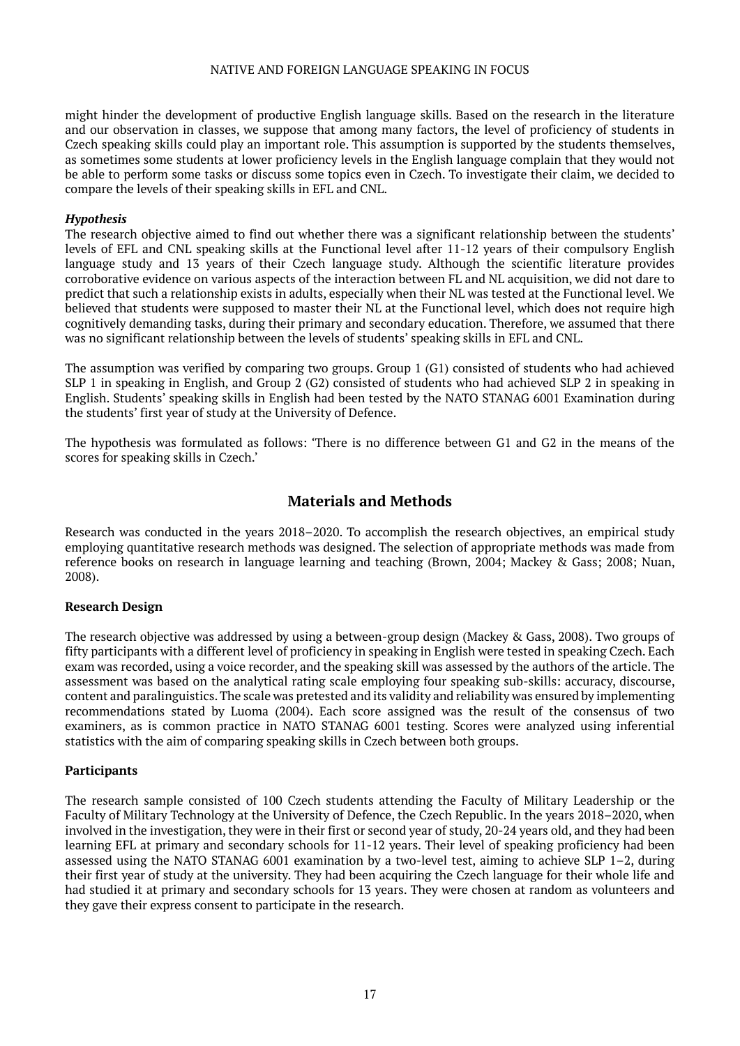might hinder the development of productive English language skills. Based on the research in the literature and our observation in classes, we suppose that among many factors, the level of proficiency of students in Czech speaking skills could play an important role. This assumption is supported by the students themselves, as sometimes some students at lower proficiency levels in the English language complain that they would not be able to perform some tasks or discuss some topics even in Czech. To investigate their claim, we decided to compare the levels of their speaking skills in EFL and CNL.

# *Hypothesis*

The research objective aimed to find out whether there was a significant relationship between the students' levels of EFL and CNL speaking skills at the Functional level after 11-12 years of their compulsory English language study and 13 years of their Czech language study. Although the scientific literature provides corroborative evidence on various aspects of the interaction between FL and NL acquisition, we did not dare to predict that such a relationship exists in adults, especially when their NL was tested at the Functional level. We believed that students were supposed to master their NL at the Functional level, which does not require high cognitively demanding tasks, during their primary and secondary education. Therefore, we assumed that there was no significant relationship between the levels of students' speaking skills in EFL and CNL.

The assumption was verified by comparing two groups. Group 1 (G1) consisted of students who had achieved SLP 1 in speaking in English, and Group 2 (G2) consisted of students who had achieved SLP 2 in speaking in English. Students' speaking skills in English had been tested by the NATO STANAG 6001 Examination during the students' first year of study at the University of Defence.

The hypothesis was formulated as follows: 'There is no difference between G1 and G2 in the means of the scores for speaking skills in Czech.'

# **Materials and Methods**

Research was conducted in the years 2018–2020. To accomplish the research objectives, an empirical study employing quantitative research methods was designed. The selection of appropriate methods was made from reference books on research in language learning and teaching (Brown, 2004; Mackey & Gass; 2008; Nuan, 2008).

# **Research Design**

The research objective was addressed by using a between-group design (Mackey & Gass, 2008). Two groups of fifty participants with a different level of proficiency in speaking in English were tested in speaking Czech. Each exam was recorded, using a voice recorder, and the speaking skill was assessed by the authors of the article. The assessment was based on the analytical rating scale employing four speaking sub-skills: accuracy, discourse, content and paralinguistics. The scale was pretested and its validity and reliability was ensured by implementing recommendations stated by Luoma (2004). Each score assigned was the result of the consensus of two examiners, as is common practice in NATO STANAG 6001 testing. Scores were analyzed using inferential statistics with the aim of comparing speaking skills in Czech between both groups.

# **Participants**

The research sample consisted of 100 Czech students attending the Faculty of Military Leadership or the Faculty of Military Technology at the University of Defence, the Czech Republic. In the years 2018–2020, when involved in the investigation, they were in their first or second year of study, 20-24 years old, and they had been learning EFL at primary and secondary schools for 11-12 years. Their level of speaking proficiency had been assessed using the NATO STANAG 6001 examination by a two-level test, aiming to achieve SLP 1–2, during their first year of study at the university. They had been acquiring the Czech language for their whole life and had studied it at primary and secondary schools for 13 years. They were chosen at random as volunteers and they gave their express consent to participate in the research.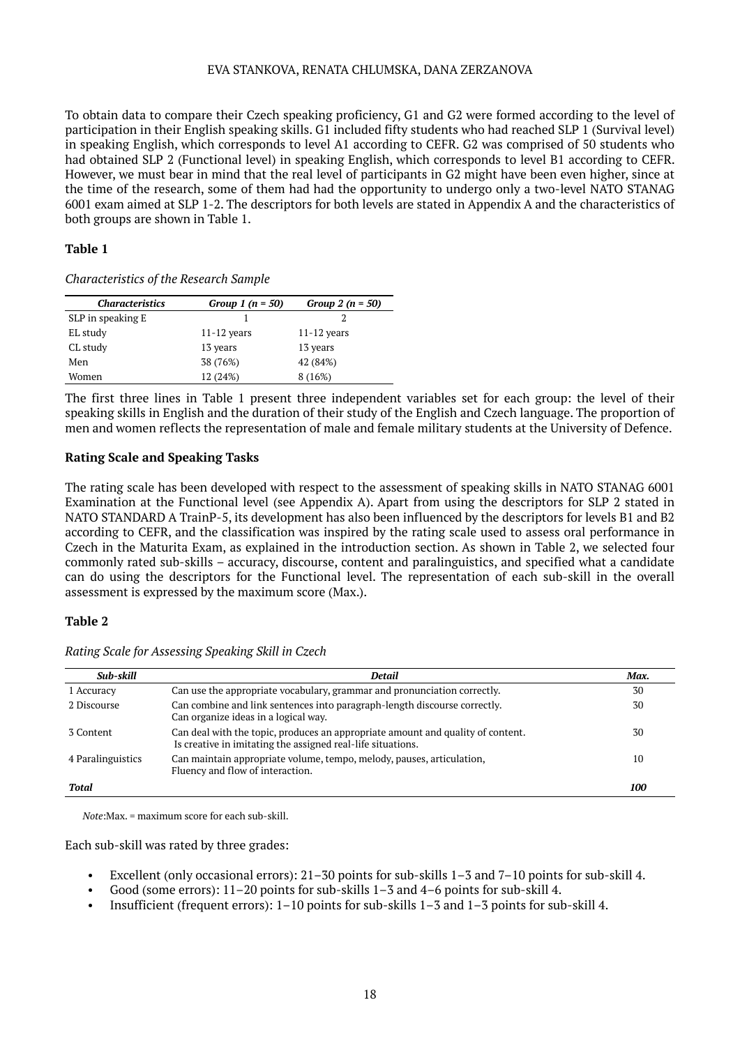To obtain data to compare their Czech speaking proficiency, G1 and G2 were formed according to the level of participation in their English speaking skills. G1 included fifty students who had reached SLP 1 (Survival level) in speaking English, which corresponds to level A1 according to CEFR. G2 was comprised of 50 students who had obtained SLP 2 (Functional level) in speaking English, which corresponds to level B1 according to CEFR. However, we must bear in mind that the real level of participants in G2 might have been even higher, since at the time of the research, some of them had had the opportunity to undergo only a two-level NATO STANAG 6001 exam aimed at SLP 1-2. The descriptors for both levels are stated in Appendix A and the characteristics of both groups are shown in Table 1.

# **Table 1**

| Characteristics of the Research Sample |  |  |  |
|----------------------------------------|--|--|--|
|----------------------------------------|--|--|--|

| <b>Characteristics</b> | Group 1 $(n = 50)$ | Group 2 $(n = 50)$ |
|------------------------|--------------------|--------------------|
| SLP in speaking E      |                    |                    |
| EL study               | $11-12$ years      | $11-12$ years      |
| CL study               | 13 years           | 13 years           |
| Men                    | 38 (76%)           | 42 (84%)           |
| Women                  | 12 (24%)           | 8 (16%)            |

The first three lines in Table 1 present three independent variables set for each group: the level of their speaking skills in English and the duration of their study of the English and Czech language. The proportion of men and women reflects the representation of male and female military students at the University of Defence.

# **Rating Scale and Speaking Tasks**

The rating scale has been developed with respect to the assessment of speaking skills in NATO STANAG 6001 Examination at the Functional level (see Appendix A). Apart from using the descriptors for SLP 2 stated in NATO STANDARD A TrainP-5, its development has also been influenced by the descriptors for levels B1 and B2 according to CEFR, and the classification was inspired by the rating scale used to assess oral performance in Czech in the Maturita Exam, as explained in the introduction section. As shown in Table 2, we selected four commonly rated sub-skills – accuracy, discourse, content and paralinguistics, and specified what a candidate can do using the descriptors for the Functional level. The representation of each sub-skill in the overall assessment is expressed by the maximum score (Max.).

# **Table 2**

| Sub-skill         | Detail                                                                                                                                         | Max. |
|-------------------|------------------------------------------------------------------------------------------------------------------------------------------------|------|
| 1 Accuracy        | Can use the appropriate vocabulary, grammar and pronunciation correctly.                                                                       | 30   |
| 2 Discourse       | Can combine and link sentences into paragraph-length discourse correctly.<br>Can organize ideas in a logical way.                              | 30   |
| 3 Content         | Can deal with the topic, produces an appropriate amount and quality of content.<br>Is creative in imitating the assigned real-life situations. | 30   |
| 4 Paralinguistics | Can maintain appropriate volume, tempo, melody, pauses, articulation,<br>Fluency and flow of interaction.                                      | 10   |
| Total             |                                                                                                                                                | 100  |

*Rating Scale for Assessing Speaking Skill in Czech*

*Note*:Max. = maximum score for each sub-skill.

Each sub-skill was rated by three grades:

- Excellent (only occasional errors): 21–30 points for sub-skills 1–3 and 7–10 points for sub-skill 4.
- Good (some errors): 11–20 points for sub-skills 1–3 and 4–6 points for sub-skill 4.
- Insufficient (frequent errors): 1–10 points for sub-skills 1–3 and 1–3 points for sub-skill 4.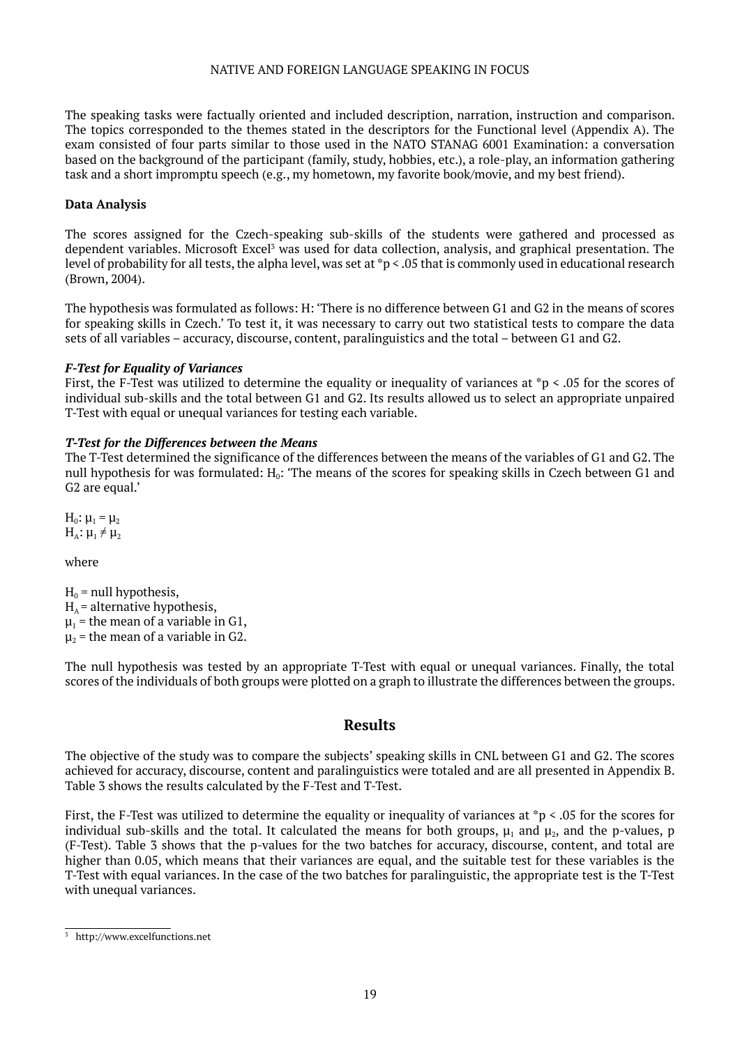The speaking tasks were factually oriented and included description, narration, instruction and comparison. The topics corresponded to the themes stated in the descriptors for the Functional level (Appendix A). The exam consisted of four parts similar to those used in the NATO STANAG 6001 Examination: a conversation based on the background of the participant (family, study, hobbies, etc.), a role-play, an information gathering task and a short impromptu speech (e.g., my hometown, my favorite book/movie, and my best friend).

# **Data Analysis**

The scores assigned for the Czech-speaking sub-skills of the students were gathered and processed as dependent variables. Microsoft Excel<sup>3</sup> was used for data collection, analysis, and graphical presentation. The level of probability for all tests, the alpha level, was set at \*p < .05 that is commonly used in educational research (Brown, 2004).

The hypothesis was formulated as follows: H: 'There is no difference between G1 and G2 in the means of scores for speaking skills in Czech.' To test it, it was necessary to carry out two statistical tests to compare the data sets of all variables – accuracy, discourse, content, paralinguistics and the total – between G1 and G2.

# *F-Test for Equality of Variances*

First, the F-Test was utilized to determine the equality or inequality of variances at \*p < .05 for the scores of individual sub-skills and the total between G1 and G2. Its results allowed us to select an appropriate unpaired T-Test with equal or unequal variances for testing each variable.

# *T-Test for the Differences between the Means*

The T-Test determined the significance of the differences between the means of the variables of G1 and G2. The null hypothesis for was formulated: H<sub>0</sub>: 'The means of the scores for speaking skills in Czech between G1 and G2 are equal.'

 $H_0$ :  $μ_1 = μ_2$  $H_A: \mu_1 \neq \mu_2$ 

where

 $H_0$  = null hypothesis,  $H<sub>A</sub>$  = alternative hypothesis,  $\mu_1$  = the mean of a variable in G1,  $\mu_2$  = the mean of a variable in G2.

The null hypothesis was tested by an appropriate T-Test with equal or unequal variances. Finally, the total scores of the individuals of both groups were plotted on a graph to illustrate the differences between the groups.

# **Results**

The objective of the study was to compare the subjects' speaking skills in CNL between G1 and G2. The scores achieved for accuracy, discourse, content and paralinguistics were totaled and are all presented in Appendix B. Table 3 shows the results calculated by the F-Test and T-Test.

First, the F-Test was utilized to determine the equality or inequality of variances at  $*p \le 0.05$  for the scores for individual sub-skills and the total. It calculated the means for both groups,  $\mu_1$  and  $\mu_2$ , and the p-values, p (F-Test). Table 3 shows that the p-values for the two batches for accuracy, discourse, content, and total are higher than 0.05, which means that their variances are equal, and the suitable test for these variables is the T-Test with equal variances. In the case of the two batches for paralinguistic, the appropriate test is the T-Test with unequal variances.

<sup>3</sup> http://www.excelfunctions.net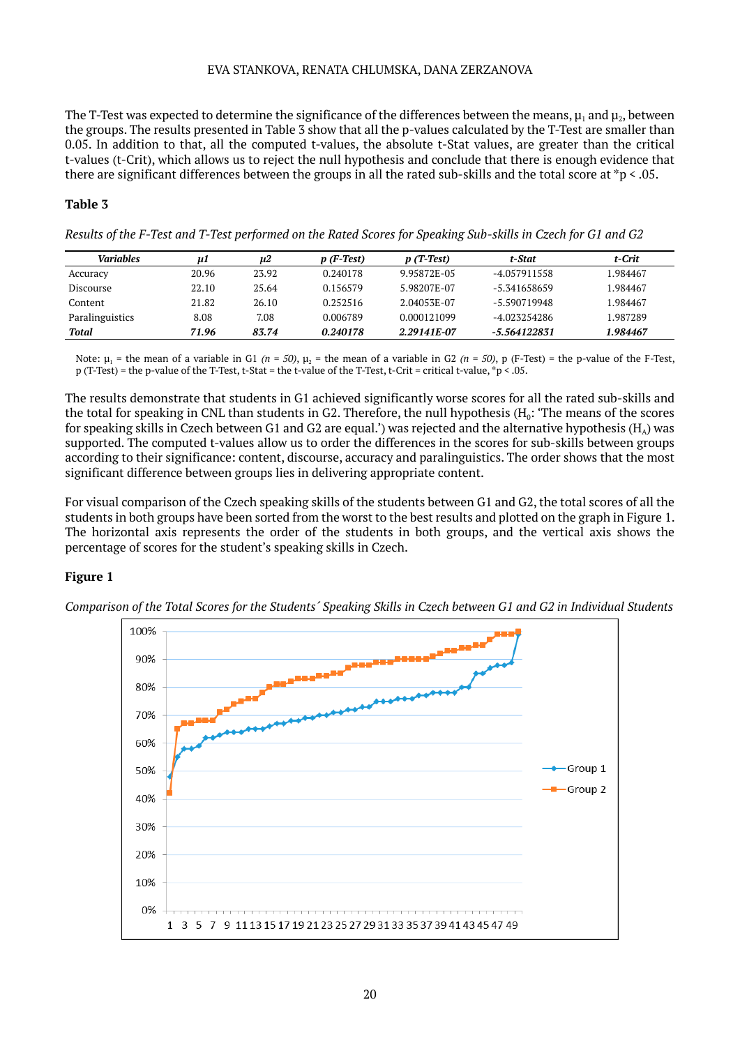The T-Test was expected to determine the significance of the differences between the means,  $\mu_1$  and  $\mu_2$ , between the groups. The results presented in Table 3 show that all the p-values calculated by the T-Test are smaller than 0.05. In addition to that, all the computed t-values, the absolute t-Stat values, are greater than the critical t-values (t-Crit), which allows us to reject the null hypothesis and conclude that there is enough evidence that there are significant differences between the groups in all the rated sub-skills and the total score at \*p < .05.

# **Table 3**

*Results of the F-Test and T-Test performed on the Rated Scores for Speaking Sub-skills in Czech for G1 and G2*

| <b>Variables</b> | иl    | u2    | $p(F-Test)$ | $p(T-Test)$ | t-Stat         | t-Crit   |
|------------------|-------|-------|-------------|-------------|----------------|----------|
| Accuracy         | 20.96 | 23.92 | 0.240178    | 9.95872E-05 | -4.057911558   | 1.984467 |
| <b>Discourse</b> | 22.10 | 25.64 | 0.156579    | 5.98207E-07 | $-5.341658659$ | 1.984467 |
| Content          | 21.82 | 26.10 | 0.252516    | 2.04053E-07 | -5.590719948   | 1.984467 |
| Paralinguistics  | 8.08  | 7.08  | 0.006789    | 0.000121099 | -4.023254286   | 1.987289 |
| Total            | 71.96 | 83.74 | 0.240178    | 2.29141F-07 | -5.564122831   | 1.984467 |

Note: μ<sub>1</sub> = the mean of a variable in G1 (*n* = 50), μ<sub>2</sub> = the mean of a variable in G2 (*n* = 50), p (F-Test) = the p-value of the F-Test, p (T-Test) = the p-value of the T-Test, t-Stat = the t-value of the T-Test, t-Crit = critical t-value, \*p < .05.

The results demonstrate that students in G1 achieved significantly worse scores for all the rated sub-skills and the total for speaking in CNL than students in G2. Therefore, the null hypothesis  $(H_0:$  'The means of the scores for speaking skills in Czech between G1 and G2 are equal.') was rejected and the alternative hypothesis ( $H_a$ ) was supported. The computed t-values allow us to order the differences in the scores for sub-skills between groups according to their significance: content, discourse, accuracy and paralinguistics. The order shows that the most significant difference between groups lies in delivering appropriate content.

For visual comparison of the Czech speaking skills of the students between G1 and G2, the total scores of all the students in both groups have been sorted from the worst to the best results and plotted on the graph in Figure 1. The horizontal axis represents the order of the students in both groups, and the vertical axis shows the percentage of scores for the student's speaking skills in Czech.

# **Figure 1**



*Comparison of the Total Scores for the Students´ Speaking Skills in Czech between G1 and G2 in Individual Students*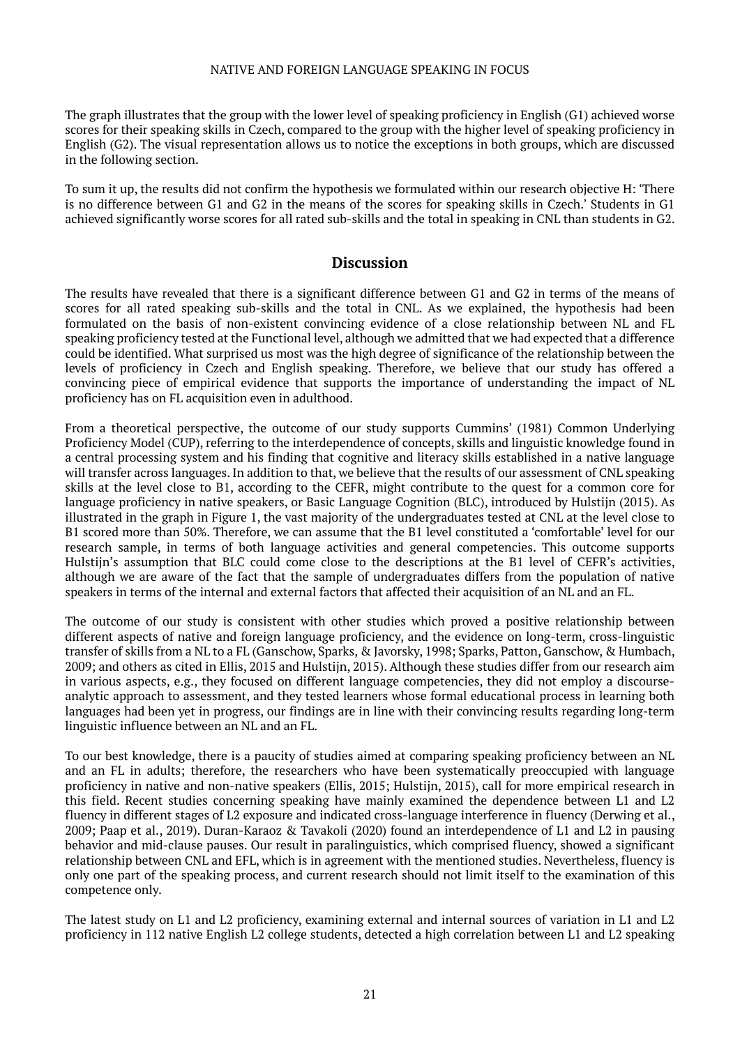The graph illustrates that the group with the lower level of speaking proficiency in English (G1) achieved worse scores for their speaking skills in Czech, compared to the group with the higher level of speaking proficiency in English (G2). The visual representation allows us to notice the exceptions in both groups, which are discussed in the following section.

To sum it up, the results did not confirm the hypothesis we formulated within our research objective H: 'There is no difference between G1 and G2 in the means of the scores for speaking skills in Czech.' Students in G1 achieved significantly worse scores for all rated sub-skills and the total in speaking in CNL than students in G2.

# **Discussion**

The results have revealed that there is a significant difference between G1 and G2 in terms of the means of scores for all rated speaking sub-skills and the total in CNL. As we explained, the hypothesis had been formulated on the basis of non-existent convincing evidence of a close relationship between NL and FL speaking proficiency tested at the Functional level, although we admitted that we had expected that a difference could be identified. What surprised us most was the high degree of significance of the relationship between the levels of proficiency in Czech and English speaking. Therefore, we believe that our study has offered a convincing piece of empirical evidence that supports the importance of understanding the impact of NL proficiency has on FL acquisition even in adulthood.

From a theoretical perspective, the outcome of our study supports Cummins' (1981) Common Underlying Proficiency Model (CUP), referring to the interdependence of concepts, skills and linguistic knowledge found in a central processing system and his finding that cognitive and literacy skills established in a native language will transfer across languages. In addition to that, we believe that the results of our assessment of CNL speaking skills at the level close to B1, according to the CEFR, might contribute to the quest for a common core for language proficiency in native speakers, or Basic Language Cognition (BLC), introduced by Hulstijn (2015). As illustrated in the graph in Figure 1, the vast majority of the undergraduates tested at CNL at the level close to B1 scored more than 50%. Therefore, we can assume that the B1 level constituted a 'comfortable' level for our research sample, in terms of both language activities and general competencies. This outcome supports Hulstiin's assumption that BLC could come close to the descriptions at the B1 level of CEFR's activities, although we are aware of the fact that the sample of undergraduates differs from the population of native speakers in terms of the internal and external factors that affected their acquisition of an NL and an FL.

The outcome of our study is consistent with other studies which proved a positive relationship between different aspects of native and foreign language proficiency, and the evidence on long-term, cross-linguistic transfer of skills from a NL to a FL (Ganschow, Sparks, & Javorsky, 1998; Sparks, Patton, Ganschow, & Humbach, 2009; and others as cited in Ellis, 2015 and Hulstijn, 2015). Although these studies differ from our research aim in various aspects, e.g., they focused on different language competencies, they did not employ a discourseanalytic approach to assessment, and they tested learners whose formal educational process in learning both languages had been yet in progress, our findings are in line with their convincing results regarding long-term linguistic influence between an NL and an FL.

To our best knowledge, there is a paucity of studies aimed at comparing speaking proficiency between an NL and an FL in adults; therefore, the researchers who have been systematically preoccupied with language proficiency in native and non-native speakers (Ellis, 2015; Hulstijn, 2015), call for more empirical research in this field. Recent studies concerning speaking have mainly examined the dependence between L1 and L2 fluency in different stages of L2 exposure and indicated cross-language interference in fluency (Derwing et al., 2009; Paap et al., 2019). Duran-Karaoz & Tavakoli (2020) found an interdependence of L1 and L2 in pausing behavior and mid-clause pauses. Our result in paralinguistics, which comprised fluency, showed a significant relationship between CNL and EFL, which is in agreement with the mentioned studies. Nevertheless, fluency is only one part of the speaking process, and current research should not limit itself to the examination of this competence only.

The latest study on L1 and L2 proficiency, examining external and internal sources of variation in L1 and L2 proficiency in 112 native English L2 college students, detected a high correlation between L1 and L2 speaking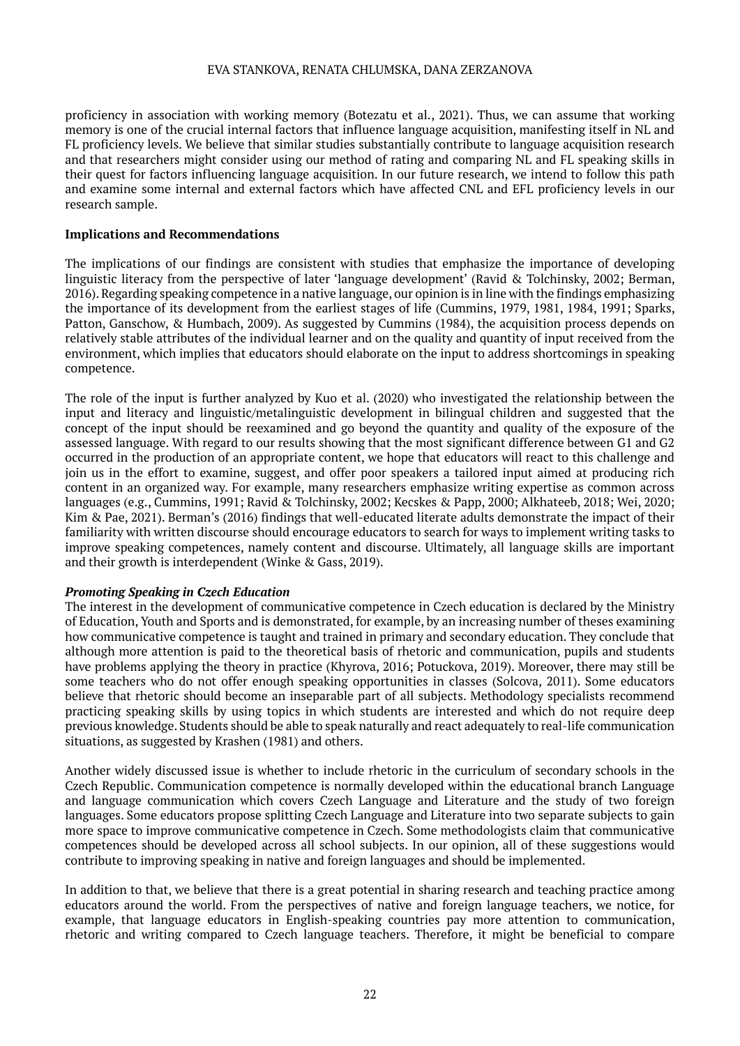proficiency in association with working memory (Botezatu et al., 2021). Thus, we can assume that working memory is one of the crucial internal factors that influence language acquisition, manifesting itself in NL and FL proficiency levels. We believe that similar studies substantially contribute to language acquisition research and that researchers might consider using our method of rating and comparing NL and FL speaking skills in their quest for factors influencing language acquisition. In our future research, we intend to follow this path and examine some internal and external factors which have affected CNL and EFL proficiency levels in our research sample.

#### **Implications and Recommendations**

The implications of our findings are consistent with studies that emphasize the importance of developing linguistic literacy from the perspective of later 'language development' (Ravid & Tolchinsky, 2002; Berman, 2016). Regarding speaking competence in a native language, our opinion is in line with the findings emphasizing the importance of its development from the earliest stages of life (Cummins, 1979, 1981, 1984, 1991; Sparks, Patton, Ganschow, & Humbach, 2009). As suggested by Cummins (1984), the acquisition process depends on relatively stable attributes of the individual learner and on the quality and quantity of input received from the environment, which implies that educators should elaborate on the input to address shortcomings in speaking competence.

The role of the input is further analyzed by Kuo et al. (2020) who investigated the relationship between the input and literacy and linguistic/metalinguistic development in bilingual children and suggested that the concept of the input should be reexamined and go beyond the quantity and quality of the exposure of the assessed language. With regard to our results showing that the most significant difference between G1 and G2 occurred in the production of an appropriate content, we hope that educators will react to this challenge and join us in the effort to examine, suggest, and offer poor speakers a tailored input aimed at producing rich content in an organized way. For example, many researchers emphasize writing expertise as common across languages (e.g., Cummins, 1991; Ravid & Tolchinsky, 2002; Kecskes & Papp, 2000; Alkhateeb, 2018; Wei, 2020; Kim & Pae, 2021). Berman's (2016) findings that well-educated literate adults demonstrate the impact of their familiarity with written discourse should encourage educators to search for ways to implement writing tasks to improve speaking competences, namely content and discourse. Ultimately, all language skills are important and their growth is interdependent (Winke & Gass, 2019).

# *Promoting Speaking in Czech Education*

The interest in the development of communicative competence in Czech education is declared by the Ministry of Education, Youth and Sports and is demonstrated, for example, by an increasing number of theses examining how communicative competence is taught and trained in primary and secondary education. They conclude that although more attention is paid to the theoretical basis of rhetoric and communication, pupils and students have problems applying the theory in practice (Khyrova, 2016; Potuckova, 2019). Moreover, there may still be some teachers who do not offer enough speaking opportunities in classes (Solcova, 2011). Some educators believe that rhetoric should become an inseparable part of all subjects. Methodology specialists recommend practicing speaking skills by using topics in which students are interested and which do not require deep previous knowledge. Students should be able to speak naturally and react adequately to real-life communication situations, as suggested by Krashen (1981) and others.

Another widely discussed issue is whether to include rhetoric in the curriculum of secondary schools in the Czech Republic. Communication competence is normally developed within the educational branch Language and language communication which covers Czech Language and Literature and the study of two foreign languages. Some educators propose splitting Czech Language and Literature into two separate subjects to gain more space to improve communicative competence in Czech. Some methodologists claim that communicative competences should be developed across all school subjects. In our opinion, all of these suggestions would contribute to improving speaking in native and foreign languages and should be implemented.

In addition to that, we believe that there is a great potential in sharing research and teaching practice among educators around the world. From the perspectives of native and foreign language teachers, we notice, for example, that language educators in English-speaking countries pay more attention to communication, rhetoric and writing compared to Czech language teachers. Therefore, it might be beneficial to compare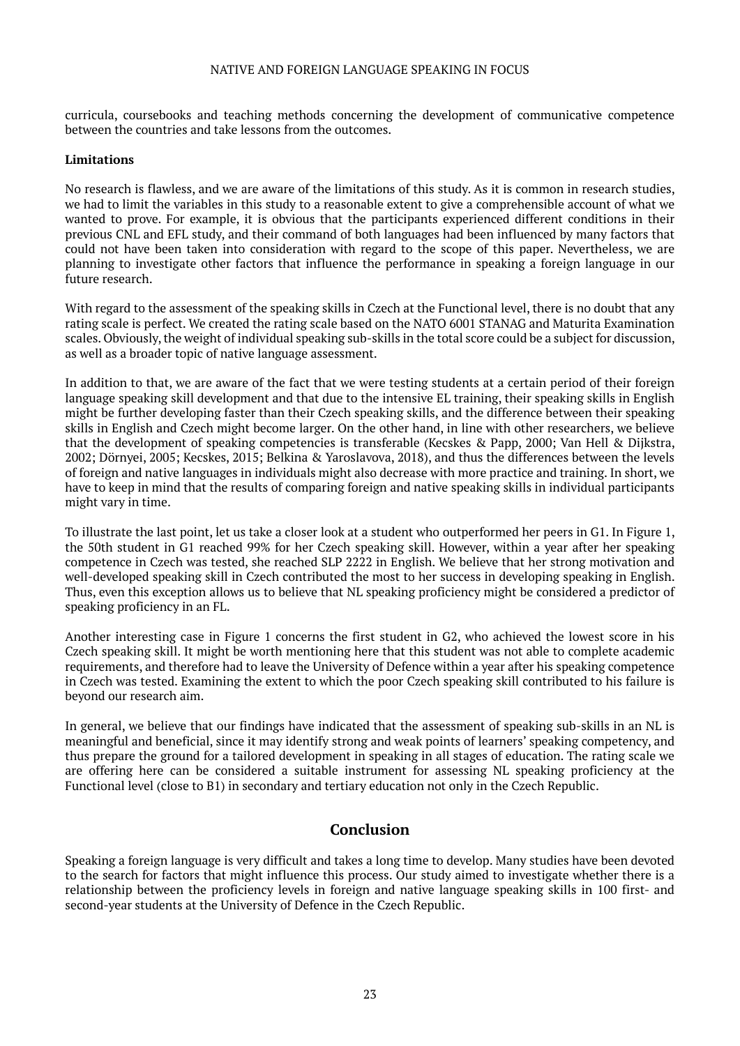curricula, coursebooks and teaching methods concerning the development of communicative competence between the countries and take lessons from the outcomes.

#### **Limitations**

No research is flawless, and we are aware of the limitations of this study. As it is common in research studies, we had to limit the variables in this study to a reasonable extent to give a comprehensible account of what we wanted to prove. For example, it is obvious that the participants experienced different conditions in their previous CNL and EFL study, and their command of both languages had been influenced by many factors that could not have been taken into consideration with regard to the scope of this paper. Nevertheless, we are planning to investigate other factors that influence the performance in speaking a foreign language in our future research.

With regard to the assessment of the speaking skills in Czech at the Functional level, there is no doubt that any rating scale is perfect. We created the rating scale based on the NATO 6001 STANAG and Maturita Examination scales. Obviously, the weight of individual speaking sub-skills in the total score could be a subject for discussion, as well as a broader topic of native language assessment.

In addition to that, we are aware of the fact that we were testing students at a certain period of their foreign language speaking skill development and that due to the intensive EL training, their speaking skills in English might be further developing faster than their Czech speaking skills, and the difference between their speaking skills in English and Czech might become larger. On the other hand, in line with other researchers, we believe that the development of speaking competencies is transferable (Kecskes & Papp, 2000; Van Hell & Dijkstra, 2002; Dörnyei, 2005; Kecskes, 2015; Belkina & Yaroslavova, 2018), and thus the differences between the levels of foreign and native languages in individuals might also decrease with more practice and training. In short, we have to keep in mind that the results of comparing foreign and native speaking skills in individual participants might vary in time.

To illustrate the last point, let us take a closer look at a student who outperformed her peers in G1. In Figure 1, the 50th student in G1 reached 99% for her Czech speaking skill. However, within a year after her speaking competence in Czech was tested, she reached SLP 2222 in English. We believe that her strong motivation and well-developed speaking skill in Czech contributed the most to her success in developing speaking in English. Thus, even this exception allows us to believe that NL speaking proficiency might be considered a predictor of speaking proficiency in an FL.

Another interesting case in Figure 1 concerns the first student in G2, who achieved the lowest score in his Czech speaking skill. It might be worth mentioning here that this student was not able to complete academic requirements, and therefore had to leave the University of Defence within a year after his speaking competence in Czech was tested. Examining the extent to which the poor Czech speaking skill contributed to his failure is beyond our research aim.

In general, we believe that our findings have indicated that the assessment of speaking sub-skills in an NL is meaningful and beneficial, since it may identify strong and weak points of learners' speaking competency, and thus prepare the ground for a tailored development in speaking in all stages of education. The rating scale we are offering here can be considered a suitable instrument for assessing NL speaking proficiency at the Functional level (close to B1) in secondary and tertiary education not only in the Czech Republic.

# **Conclusion**

Speaking a foreign language is very difficult and takes a long time to develop. Many studies have been devoted to the search for factors that might influence this process. Our study aimed to investigate whether there is a relationship between the proficiency levels in foreign and native language speaking skills in 100 first- and second-year students at the University of Defence in the Czech Republic.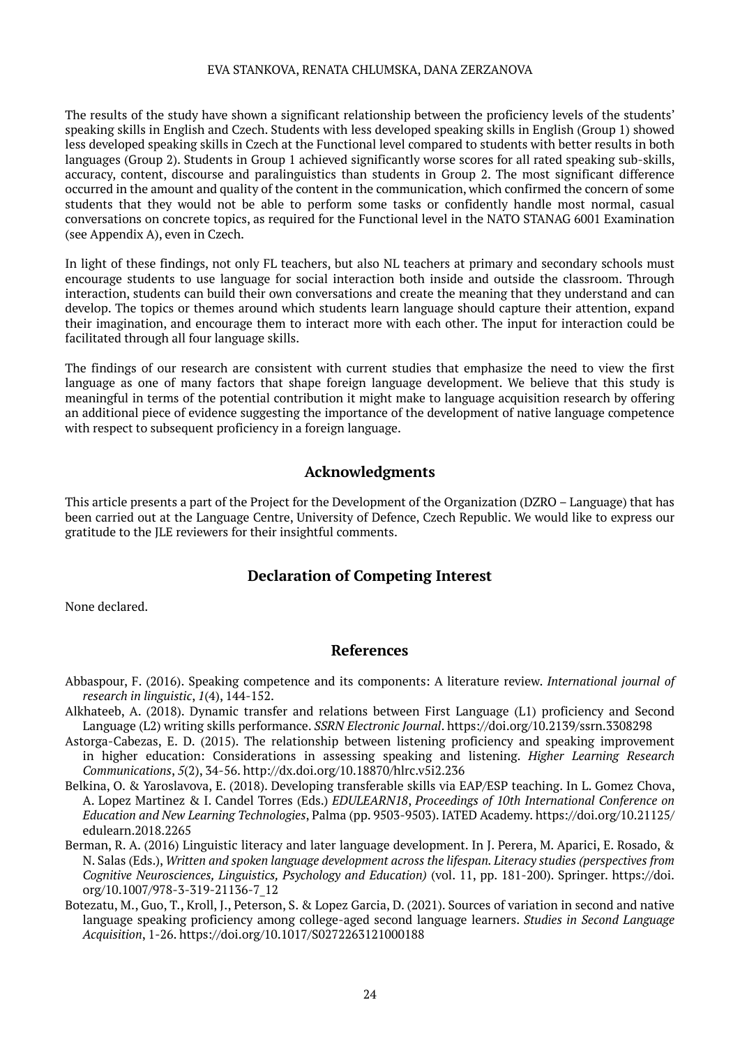The results of the study have shown a significant relationship between the proficiency levels of the students' speaking skills in English and Czech. Students with less developed speaking skills in English (Group 1) showed less developed speaking skills in Czech at the Functional level compared to students with better results in both languages (Group 2). Students in Group 1 achieved significantly worse scores for all rated speaking sub-skills, accuracy, content, discourse and paralinguistics than students in Group 2. The most significant difference occurred in the amount and quality of the content in the communication, which confirmed the concern of some students that they would not be able to perform some tasks or confidently handle most normal, casual conversations on concrete topics, as required for the Functional level in the NATO STANAG 6001 Examination (see Appendix A), even in Czech.

In light of these findings, not only FL teachers, but also NL teachers at primary and secondary schools must encourage students to use language for social interaction both inside and outside the classroom. Through interaction, students can build their own conversations and create the meaning that they understand and can develop. The topics or themes around which students learn language should capture their attention, expand their imagination, and encourage them to interact more with each other. The input for interaction could be facilitated through all four language skills.

The findings of our research are consistent with current studies that emphasize the need to view the first language as one of many factors that shape foreign language development. We believe that this study is meaningful in terms of the potential contribution it might make to language acquisition research by offering an additional piece of evidence suggesting the importance of the development of native language competence with respect to subsequent proficiency in a foreign language.

# **Acknowledgments**

This article presents a part of the Project for the Development of the Organization (DZRO – Language) that has been carried out at the Language Centre, University of Defence, Czech Republic. We would like to express our gratitude to the JLE reviewers for their insightful comments.

# **Declaration of Competing Interest**

None declared.

# **References**

- Abbaspour, F. (2016). Speaking competence and its components: A literature review. *International journal of research in linguistic*, *1*(4), 144-152.
- Alkhateeb, A. (2018). Dynamic transfer and relations between First Language (L1) proficiency and Second Language (L2) writing skills performance. *SSRN Electronic Journal*. https://doi.org/10.2139/ssrn.3308298
- Astorga-Cabezas, E. D. (2015). The relationship between listening proficiency and speaking improvement in higher education: Considerations in assessing speaking and listening. *Higher Learning Research Communications*, *5*(2), 34-56. http://dx.doi.org/10.18870/hlrc.v5i2.236
- Belkina, O. & Yaroslavova, E. (2018). Developing transferable skills via EAP/ESP teaching. In L. Gomez Chova, A. Lopez Martinez & I. Candel Torres (Eds.) *EDULEARN18*, *Proceedings of 10th International Conference on Education and New Learning Technologies*, Palma (pp. 9503-9503). IATED Academy. https://doi.org/10.21125/ edulearn.2018.2265
- Berman, R. A. (2016) Linguistic literacy and later language development. In J. Perera, M. Aparici, E. Rosado, & N. Salas (Eds.), *Written and spoken language development across the lifespan. Literacy studies (perspectives from Cognitive Neurosciences, Linguistics, Psychology and Education)* (vol. 11, pp. 181-200). Springer. https://doi. org/10.1007/978-3-319-21136-7\_12
- Botezatu, M., Guo, T., Kroll, J., Peterson, S. & Lopez Garcia, D. (2021). Sources of variation in second and native language speaking proficiency among college-aged second language learners. *Studies in Second Language Acquisition*, 1-26. https://doi.org/10.1017/S0272263121000188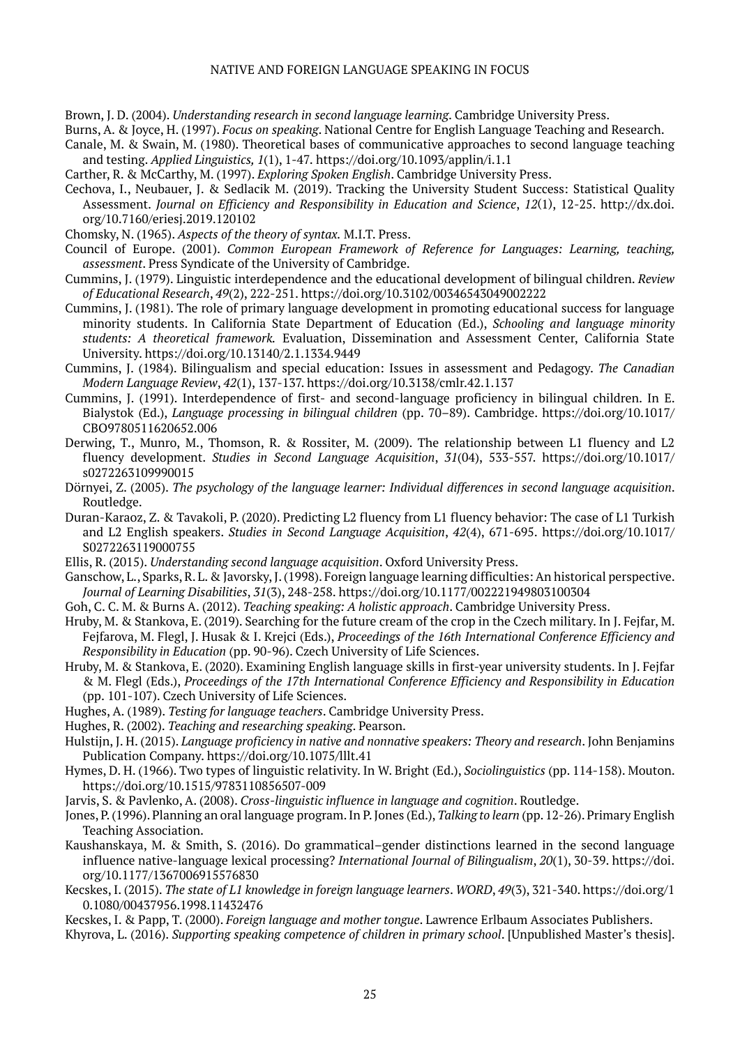Brown, J. D. (2004). *Understanding research in second language learning*. Cambridge University Press.

Burns, A. & Joyce, H. (1997). *Focus on speaking*. National Centre for English Language Teaching and Research.

- Canale, M. & Swain, M. (1980). Theoretical bases of communicative approaches to second language teaching and testing. *Applied Linguistics, 1*(1), 1-47*.* https://doi.org/10.1093/applin/i.1.1
- Carther, R. & McCarthy, M. (1997). *Exploring Spoken English*. Cambridge University Press.
- Cechova, I., Neubauer, J. & Sedlacik M. (2019). Tracking the University Student Success: Statistical Quality Assessment. *Journal on Efficiency and Responsibility in Education and Science*, *12*(1), 12-25. http://dx.doi. org/10.7160/eriesj.2019.120102
- Chomsky, N. (1965). *Aspects of the theory of syntax.* M.I.T. Press.
- Council of Europe. (2001). *Common European Framework of Reference for Languages: Learning, teaching, assessment*. Press Syndicate of the University of Cambridge.
- Cummins, J. (1979). Linguistic interdependence and the educational development of bilingual children. *Review of Educational Research*, *49*(2), 222-251. https://doi.org/10.3102/00346543049002222
- Cummins, J. (1981). The role of primary language development in promoting educational success for language minority students. In California State Department of Education (Ed.), *Schooling and language minority students: A theoretical framework.* Evaluation, Dissemination and Assessment Center, California State University. https://doi.org/10.13140/2.1.1334.9449
- Cummins, J. (1984). Bilingualism and special education: Issues in assessment and Pedagogy. *The Canadian Modern Language Review*, *42*(1), 137-137. https://doi.org/10.3138/cmlr.42.1.137
- Cummins, J. (1991). Interdependence of first- and second-language proficiency in bilingual children. In E. Bialystok (Ed.), *Language processing in bilingual children* (pp. 70–89). Cambridge. https://doi.org/10.1017/ CBO9780511620652.006
- Derwing, T., Munro, M., Thomson, R. & Rossiter, M. (2009). The relationship between L1 fluency and L2 fluency development. *Studies in Second Language Acquisition*, *31*(04), 533-557. https://doi.org/10.1017/ s0272263109990015
- Dörnyei, Z. (2005). *The psychology of the language learner: Individual differences in second language acquisition*. Routledge.
- Duran-Karaoz, Z. & Tavakoli, P. (2020). Predicting L2 fluency from L1 fluency behavior: The case of L1 Turkish and L2 English speakers. *Studies in Second Language Acquisition*, *42*(4), 671-695. https://doi.org/10.1017/ S0272263119000755
- Ellis, R. (2015). *Understanding second language acquisition*. Oxford University Press.
- Ganschow, L., Sparks, R. L. & Javorsky, J. (1998). Foreign language learning difficulties: An historical perspective. *Journal of Learning Disabilities*, *31*(3), 248-258. https://doi.org/10.1177/002221949803100304
- Goh, C. C. M. & Burns A. (2012). *Teaching speaking: A holistic approach*. Cambridge University Press.
- Hruby, M. & Stankova, E. (2019). Searching for the future cream of the crop in the Czech military. In J. Fejfar, M. Fejfarova, M. Flegl, J. Husak & I. Krejci (Eds.), *Proceedings of the 16th International Conference Efficiency and Responsibility in Education* (pp. 90-96). Czech University of Life Sciences.
- Hruby, M. & Stankova, E. (2020). Examining English language skills in first-year university students. In J. Fejfar & M. Flegl (Eds.), *Proceedings of the 17th International Conference Efficiency and Responsibility in Education* (pp. 101-107). Czech University of Life Sciences.
- Hughes, A. (1989). *Testing for language teachers*. Cambridge University Press.
- Hughes, R. (2002). *Teaching and researching speaking*. Pearson.

Hulstijn, J. H. (2015). *Language proficiency in native and nonnative speakers: Theory and research*. John Benjamins Publication Company. https://doi.org/10.1075/lllt.41

- Hymes, D. H. (1966). Two types of linguistic relativity. In W. Bright (Ed.), *Sociolinguistics* (pp. 114-158). Mouton. https://doi.org/10.1515/9783110856507-009
- Jarvis, S. & Pavlenko, A. (2008). *Cross-linguistic influence in language and cognition*. Routledge.
- Jones, P. (1996). Planning an oral language program. In P. Jones (Ed.), *Talking to learn* (pp. 12-26). Primary English Teaching Association.
- Kaushanskaya, M. & Smith, S. (2016). Do grammatical–gender distinctions learned in the second language influence native-language lexical processing? *International Journal of Bilingualism*, *20*(1), 30-39. https://doi. org/10.1177/1367006915576830
- Kecskes, I. (2015). *The state of L1 knowledge in foreign language learners*. *WORD*, *49*(3), 321-340. https://doi.org/[1](https://doi.org/10.1080/00437956.1998.11432476) [0.1080/00437956.1998.11432476](https://doi.org/10.1080/00437956.1998.11432476)
- Kecskes, I. & Papp, T. (2000). *Foreign language and mother tongue*. Lawrence Erlbaum Associates Publishers.
- Khyrova, L. (2016). *Supporting speaking competence of children in primary school*. [Unpublished Master's thesis].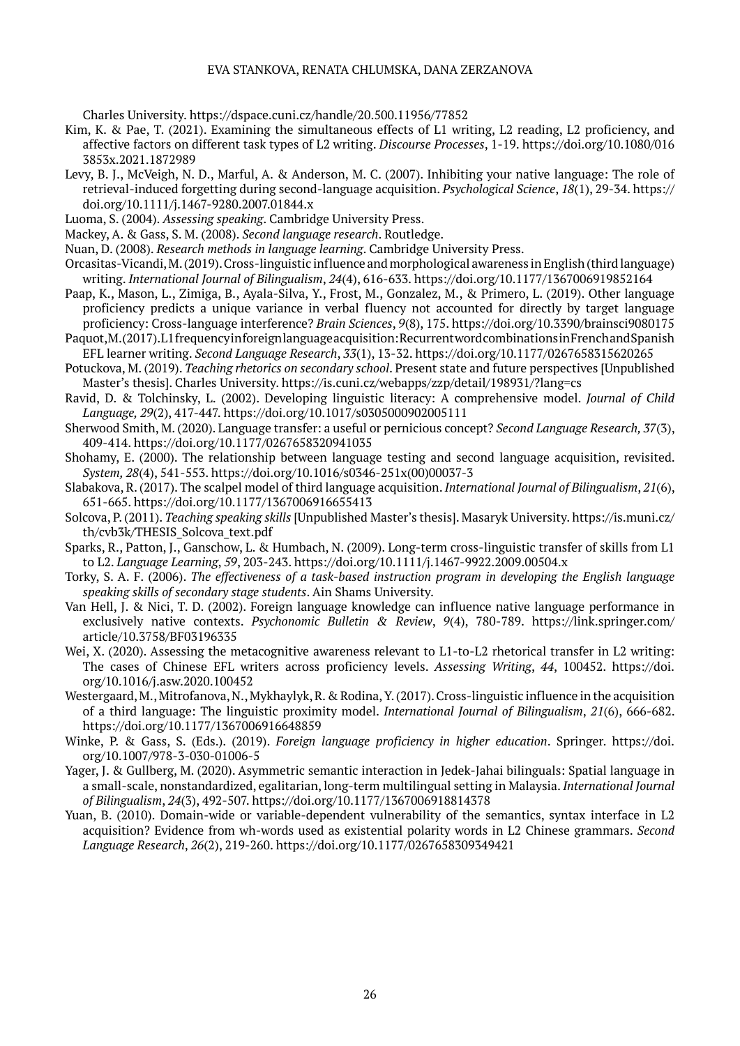Charles University. https://dspace.cuni.cz/handle/20.500.11956/77852

- Kim, K. & Pae, T. (2021). Examining the simultaneous effects of L1 writing, L2 reading, L2 proficiency, and affective factors on different task types of L2 writing. *Discourse Processes*, 1-19. https://doi.org/10.1080/016 3853x.2021.1872989
- Levy, B. J., McVeigh, N. D., Marful, A. & Anderson, M. C. (2007). Inhibiting your native language: The role of retrieval-induced forgetting during second-language acquisition. *Psychological Science*, *18*(1), 29-34. https:// doi.org/10.1111/j.1467-9280.2007.01844.x
- Luoma, S. (2004). *Assessing speaking*. Cambridge University Press.
- Mackey, A. & Gass, S. M. (2008). *Second language research*. Routledge.
- Nuan, D. (2008). *Research methods in language learning*. Cambridge University Press.
- Orcasitas-Vicandi, M. (2019). Cross-linguistic influence and morphological awareness in English (third language) writing. *International Journal of Bilingualism*, *24*(4), 616-633. https://doi.org/10.1177/1367006919852164
- Paap, K., Mason, L., Zimiga, B., Ayala-Silva, Y., Frost, M., Gonzalez, M., & Primero, L. (2019). Other language proficiency predicts a unique variance in verbal fluency not accounted for directly by target language proficiency: Cross-language interference? *Brain Sciences*, *9*(8), 175. https://doi.org/10.3390/brainsci9080175
- Paquot, M. (2017). L1 frequency in foreign language acquisition: Recurrent word combinations in French and Spanish EFL learner writing. *Second Language Research*, *33*(1), 13-32. https://doi.org/10.1177/0267658315620265
- Potuckova, M. (2019). *Teaching rhetorics on secondary school*. Present state and future perspectives [Unpublished Master's thesis]. Charles University. https://is.cuni.cz/webapps/zzp/detail/198931/?lang=cs
- Ravid, D. & Tolchinsky, L. (2002). Developing linguistic literacy: A comprehensive model. *Journal of Child Language, 29*(2), 417-447. https://doi.org/10.1017/s0305000902005111
- Sherwood Smith, M. (2020). Language transfer: a useful or pernicious concept? *Second Language Research, 37*(3), 409-414. https://doi.org/10.1177/0267658320941035
- Shohamy, E. (2000). The relationship between language testing and second language acquisition, revisited. *System, 28*(4), 541-553. https://doi.org/10.1016/s0346-251x(00)00037-3
- Slabakova, R. (2017). The scalpel model of third language acquisition. *International Journal of Bilingualism*, *21*(6), 651-665. https://doi.org/10.1177/1367006916655413
- Solcova, P. (2011). *Teaching speaking skills* [Unpublished Master's thesis]. Masaryk University. https://is.muni.cz/ th/cvb3k/THESIS\_Solcova\_text.pdf
- Sparks, R., Patton, J., Ganschow, L. & Humbach, N. (2009). Long-term cross-linguistic transfer of skills from L1 to L2. *Language Learning*, *59*, 203-243. https://doi.org/10.1111/j.1467-9922.2009.00504.x
- Torky, S. A. F. (2006). *The effectiveness of a task-based instruction program in developing the English language speaking skills of secondary stage students*. Ain Shams University.
- Van Hell, J. & Nici, T. D. (2002). Foreign language knowledge can influence native language performance in exclusively native contexts. *Psychonomic Bulletin & Review*, *9*(4), 780-789. https://link.springer.com/ article/10.3758/BF03196335
- Wei, X. (2020). Assessing the metacognitive awareness relevant to L1-to-L2 rhetorical transfer in L2 writing: The cases of Chinese EFL writers across proficiency levels. *Assessing Writing*, *44*, 100452. https://doi. org/10.1016/j.asw.2020.100452
- Westergaard, M., Mitrofanova, N., Mykhaylyk, R. & Rodina, Y. (2017). Cross-linguistic influence in the acquisition of a third language: The linguistic proximity model. *International Journal of Bilingualism*, *21*(6), 666-682. https://doi.org/10.1177/1367006916648859
- Winke, P. & Gass, S. (Eds.). (2019). *Foreign language proficiency in higher education*. Springer. https://doi. org/10.1007/978-3-030-01006-5
- Yager, J. & Gullberg, M. (2020). Asymmetric semantic interaction in Jedek-Jahai bilinguals: Spatial language in a small-scale, nonstandardized, egalitarian, long-term multilingual setting in Malaysia. *International Journal of Bilingualism*, *24*(3), 492-507. https://doi.org/10.1177/1367006918814378
- Yuan, B. (2010). Domain-wide or variable-dependent vulnerability of the semantics, syntax interface in L2 acquisition? Evidence from wh-words used as existential polarity words in L2 Chinese grammars. *Second Language Research*, *26*(2), 219-260. https://doi.org/10.1177/0267658309349421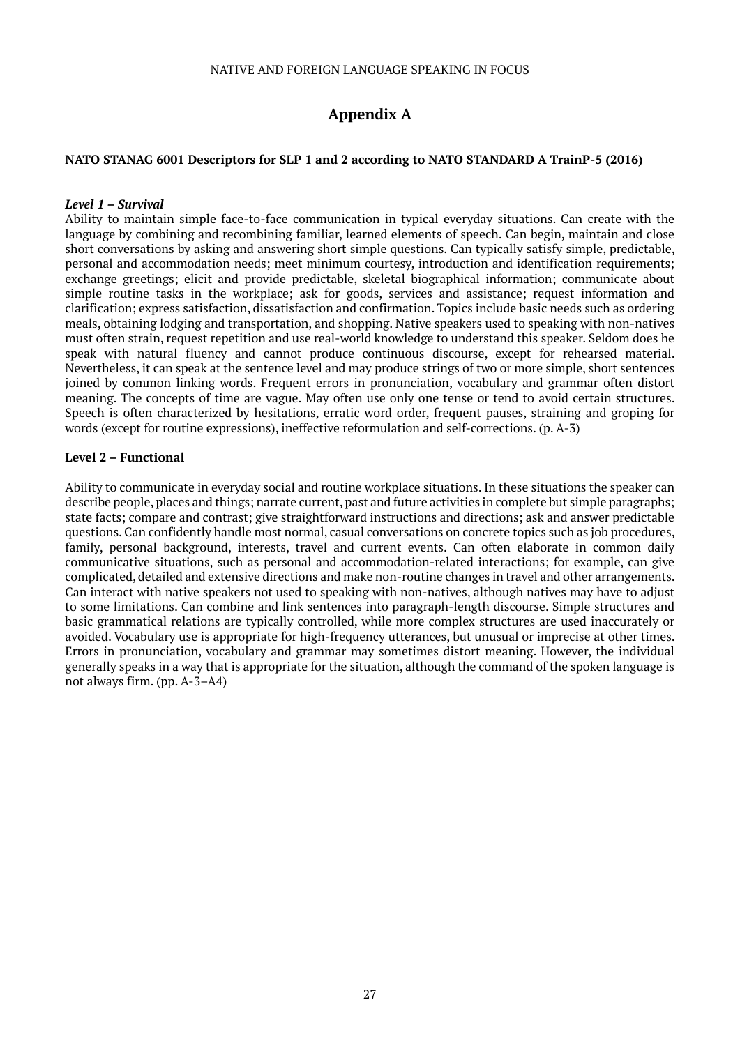# **Appendix A**

#### **NATO STANAG 6001 Descriptors for SLP 1 and 2 according to NATO STANDARD A TrainP-5 (2016)**

#### *Level 1 – Survival*

Ability to maintain simple face-to-face communication in typical everyday situations. Can create with the language by combining and recombining familiar, learned elements of speech. Can begin, maintain and close short conversations by asking and answering short simple questions. Can typically satisfy simple, predictable, personal and accommodation needs; meet minimum courtesy, introduction and identification requirements; exchange greetings; elicit and provide predictable, skeletal biographical information; communicate about simple routine tasks in the workplace; ask for goods, services and assistance; request information and clarification; express satisfaction, dissatisfaction and confirmation. Topics include basic needs such as ordering meals, obtaining lodging and transportation, and shopping. Native speakers used to speaking with non-natives must often strain, request repetition and use real-world knowledge to understand this speaker. Seldom does he speak with natural fluency and cannot produce continuous discourse, except for rehearsed material. Nevertheless, it can speak at the sentence level and may produce strings of two or more simple, short sentences joined by common linking words. Frequent errors in pronunciation, vocabulary and grammar often distort meaning. The concepts of time are vague. May often use only one tense or tend to avoid certain structures. Speech is often characterized by hesitations, erratic word order, frequent pauses, straining and groping for words (except for routine expressions), ineffective reformulation and self-corrections. (p. A-3)

#### **Level 2 – Functional**

Ability to communicate in everyday social and routine workplace situations. In these situations the speaker can describe people, places and things; narrate current, past and future activities in complete but simple paragraphs; state facts; compare and contrast; give straightforward instructions and directions; ask and answer predictable questions. Can confidently handle most normal, casual conversations on concrete topics such as job procedures, family, personal background, interests, travel and current events. Can often elaborate in common daily communicative situations, such as personal and accommodation-related interactions; for example, can give complicated, detailed and extensive directions and make non-routine changes in travel and other arrangements. Can interact with native speakers not used to speaking with non-natives, although natives may have to adjust to some limitations. Can combine and link sentences into paragraph-length discourse. Simple structures and basic grammatical relations are typically controlled, while more complex structures are used inaccurately or avoided. Vocabulary use is appropriate for high-frequency utterances, but unusual or imprecise at other times. Errors in pronunciation, vocabulary and grammar may sometimes distort meaning. However, the individual generally speaks in a way that is appropriate for the situation, although the command of the spoken language is not always firm. (pp. A-3–A4)